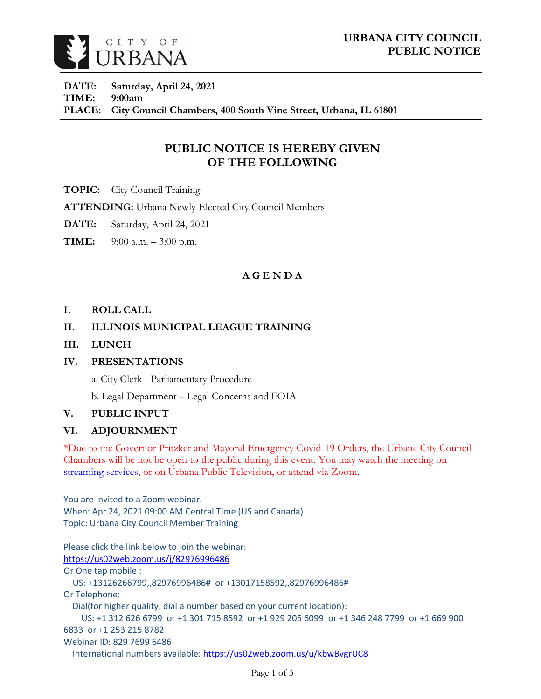

**DATE: Saturday, April 24, 2021 TIME: 9:00am PLACE: City Council Chambers, 400 South Vine Street, Urbana, IL 61801**

# **PUBLIC NOTICE IS HEREBY GIVEN OF THE FOLLOWING**

**TOPIC:** City Council Training

**ATTENDING:** Urbana Newly Elected City Council Members

- **DATE:** Saturday, April 24, 2021
- **TIME:** 9:00 a.m. 3:00 p.m.

## **A G E N D A**

### **I. ROLL CALL**

## **II. ILLINOIS MUNICIPAL LEAGUE TRAINING**

**III. LUNCH** 

## **IV. PRESENTATIONS**

a. City Clerk - Parliamentary Procedure

b. Legal Department – Legal Concerns and FOIA

## **V. PUBLIC INPUT**

## **VI. ADJOURNMENT**

\*Due to the Governor Pritzker and Mayoral Emergency Covid-19 Orders, the Urbana City Council Chambers will be not be open to the public during this event. You may watch the meeting on [streaming services,](https://livestream.com/urbana) or on Urbana Public Television, or attend via Zoom.

You are invited to a Zoom webinar. When: Apr 24, 2021 09:00 AM Central Time (US and Canada) Topic: Urbana City Council Member Training

Please click the link below to join the webinar: <https://us02web.zoom.us/j/82976996486> Or One tap mobile : US: +13126266799,,82976996486# or +13017158592,,82976996486# Or Telephone: Dial(for higher quality, dial a number based on your current location): US: +1 312 626 6799 or +1 301 715 8592 or +1 929 205 6099 or +1 346 248 7799 or +1 669 900 6833 or +1 253 215 8782 Webinar ID: 829 7699 6486 International numbers available:<https://us02web.zoom.us/u/kbwBvgrUC8>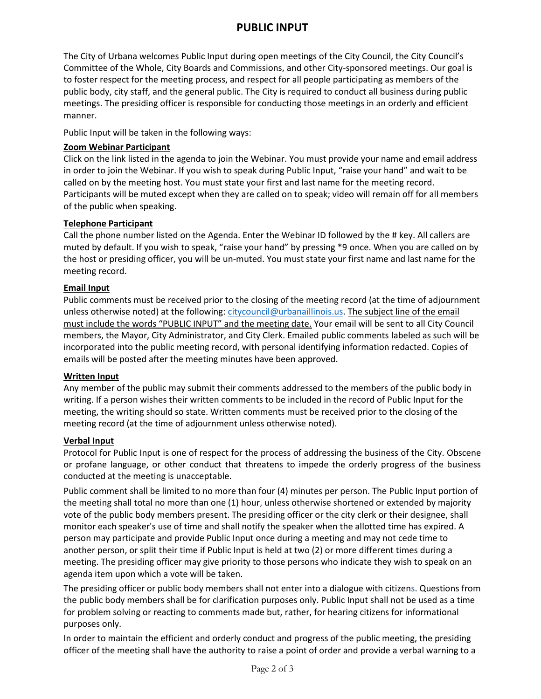# **PUBLIC INPUT**

The City of Urbana welcomes Public Input during open meetings of the City Council, the City Council's Committee of the Whole, City Boards and Commissions, and other City-sponsored meetings. Our goal is to foster respect for the meeting process, and respect for all people participating as members of the public body, city staff, and the general public. The City is required to conduct all business during public meetings. The presiding officer is responsible for conducting those meetings in an orderly and efficient manner.

Public Input will be taken in the following ways:

### **Zoom Webinar Participant**

Click on the link listed in the agenda to join the Webinar. You must provide your name and email address in order to join the Webinar. If you wish to speak during Public Input, "raise your hand" and wait to be called on by the meeting host. You must state your first and last name for the meeting record. Participants will be muted except when they are called on to speak; video will remain off for all members of the public when speaking.

### **Telephone Participant**

Call the phone number listed on the Agenda. Enter the Webinar ID followed by the # key. All callers are muted by default. If you wish to speak, "raise your hand" by pressing \*9 once. When you are called on by the host or presiding officer, you will be un-muted. You must state your first name and last name for the meeting record.

### **Email Input**

Public comments must be received prior to the closing of the meeting record (at the time of adjournment unless otherwise noted) at the following: [citycouncil@urbanaillinois.us.](mailto:citycouncil@urbanaillinois.us) The subject line of the email must include the words "PUBLIC INPUT" and the meeting date. Your email will be sent to all City Council members, the Mayor, City Administrator, and City Clerk. Emailed public comments labeled as such will be incorporated into the public meeting record, with personal identifying information redacted. Copies of emails will be posted after the meeting minutes have been approved.

#### **Written Input**

Any member of the public may submit their comments addressed to the members of the public body in writing. If a person wishes their written comments to be included in the record of Public Input for the meeting, the writing should so state. Written comments must be received prior to the closing of the meeting record (at the time of adjournment unless otherwise noted).

#### **Verbal Input**

Protocol for Public Input is one of respect for the process of addressing the business of the City. Obscene or profane language, or other conduct that threatens to impede the orderly progress of the business conducted at the meeting is unacceptable.

Public comment shall be limited to no more than four (4) minutes per person. The Public Input portion of the meeting shall total no more than one (1) hour, unless otherwise shortened or extended by majority vote of the public body members present. The presiding officer or the city clerk or their designee, shall monitor each speaker's use of time and shall notify the speaker when the allotted time has expired. A person may participate and provide Public Input once during a meeting and may not cede time to another person, or split their time if Public Input is held at two (2) or more different times during a meeting. The presiding officer may give priority to those persons who indicate they wish to speak on an agenda item upon which a vote will be taken.

The presiding officer or public body members shall not enter into a dialogue with citizens. Questions from the public body members shall be for clarification purposes only. Public Input shall not be used as a time for problem solving or reacting to comments made but, rather, for hearing citizens for informational purposes only.

In order to maintain the efficient and orderly conduct and progress of the public meeting, the presiding officer of the meeting shall have the authority to raise a point of order and provide a verbal warning to a